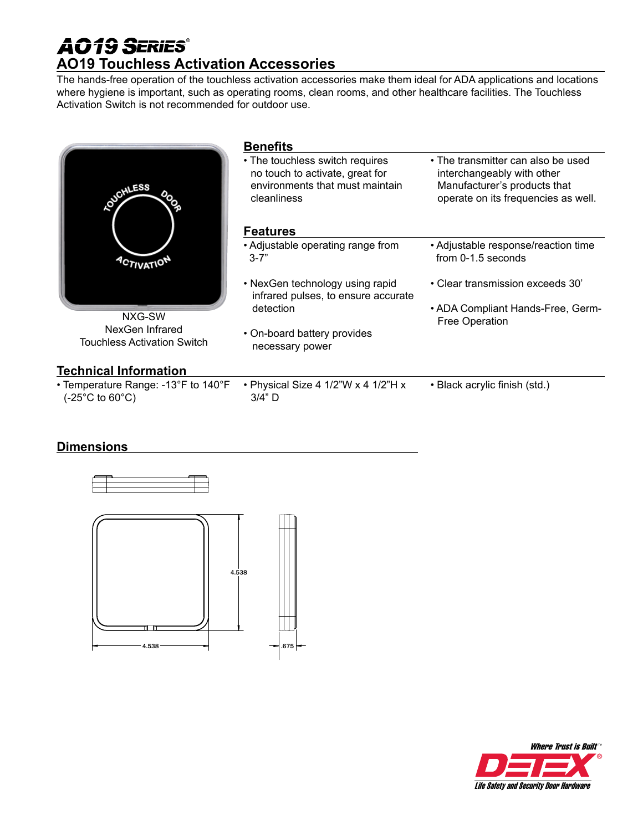## **AO19 SERIES® AO19 Touchless Activation Accessories**

The hands-free operation of the touchless activation accessories make them ideal for ADA applications and locations where hygiene is important, such as operating rooms, clean rooms, and other healthcare facilities. The Touchless Activation Switch is not recommended for outdoor use.

| <b>JOHLESS</b>                                                                      | <b>Benefits</b><br>• The touchless switch requires<br>no touch to activate, great for<br>environments that must maintain<br>cleanliness<br><b>Features</b> | • The transmitter can also be used<br>interchangeably with other<br>Manufacturer's products that<br>operate on its frequencies as well. |
|-------------------------------------------------------------------------------------|------------------------------------------------------------------------------------------------------------------------------------------------------------|-----------------------------------------------------------------------------------------------------------------------------------------|
| <b>ACTIVATIO</b><br>NXG-SW<br>NexGen Infrared<br><b>Touchless Activation Switch</b> | • Adjustable operating range from<br>$3 - 7"$<br>• NexGen technology using rapid                                                                           | • Adjustable response/reaction time<br>from 0-1.5 seconds<br>• Clear transmission exceeds 30'                                           |
|                                                                                     | infrared pulses, to ensure accurate<br>detection<br>• On-board battery provides<br>necessary power                                                         | • ADA Compliant Hands-Free, Germ-<br>Free Operation                                                                                     |
| <b>Technical Information</b>                                                        |                                                                                                                                                            |                                                                                                                                         |
| • Temperature Range: -13°F to 140°F<br>(-25°C to 60°C)                              | • Physical Size 4 1/2"W x 4 1/2"H x<br>$3/4"$ D                                                                                                            | • Black acrylic finish (std.)                                                                                                           |

### **Dimensions** DIMENSIONS